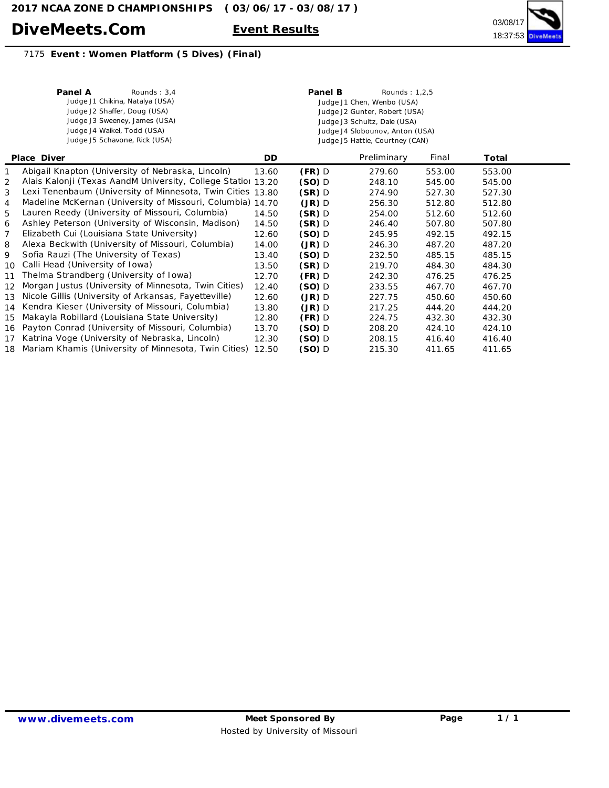## **DiveMeets.Com Event Results**



## 7175 **Event : Women Platform (5 Dives) (Final)**

|                    | Rounds: $3.4$<br>Panel A<br>Judge J1 Chikina, Natalya (USA)<br>Judge J2 Shaffer, Doug (USA)<br>Judge J3 Sweeney, James (USA)<br>Judge J4 Waikel, Todd (USA)<br>Judge J5 Schavone, Rick (USA) |       | Panel B  | Rounds: 1,2,5<br>Judge J1 Chen, Wenbo (USA)<br>Judge J2 Gunter, Robert (USA)<br>Judge J3 Schultz, Dale (USA)<br>Judge J4 Slobounov, Anton (USA)<br>Judge J5 Hattie, Courtney (CAN) |        |        |  |
|--------------------|----------------------------------------------------------------------------------------------------------------------------------------------------------------------------------------------|-------|----------|------------------------------------------------------------------------------------------------------------------------------------------------------------------------------------|--------|--------|--|
| <b>Place Diver</b> |                                                                                                                                                                                              | DD.   |          | Preliminary                                                                                                                                                                        | Final  | Total  |  |
| 1                  | Abigail Knapton (University of Nebraska, Lincoln)                                                                                                                                            | 13.60 | $(FR)$ D | 279.60                                                                                                                                                                             | 553.00 | 553.00 |  |
| 2                  | Alais Kalonji (Texas AandM University, College Statior 13.20                                                                                                                                 |       | $(SO)$ D | 248.10                                                                                                                                                                             | 545.00 | 545.00 |  |
| 3                  | Lexi Tenenbaum (University of Minnesota, Twin Cities 13.80                                                                                                                                   |       | $(SR)$ D | 274.90                                                                                                                                                                             | 527.30 | 527.30 |  |
| 4                  | Madeline McKernan (University of Missouri, Columbia) 14.70                                                                                                                                   |       | $(JR)$ D | 256.30                                                                                                                                                                             | 512.80 | 512.80 |  |
| 5                  | Lauren Reedy (University of Missouri, Columbia)                                                                                                                                              | 14.50 | $(SR)$ D | 254.00                                                                                                                                                                             | 512.60 | 512.60 |  |
| 6                  | Ashley Peterson (University of Wisconsin, Madison)                                                                                                                                           | 14.50 | $(SR)$ D | 246.40                                                                                                                                                                             | 507.80 | 507.80 |  |
| 7                  | Elizabeth Cui (Louisiana State University)                                                                                                                                                   | 12.60 | $(SO)$ D | 245.95                                                                                                                                                                             | 492.15 | 492.15 |  |
| 8                  | Alexa Beckwith (University of Missouri, Columbia)                                                                                                                                            | 14.00 | $(JR)$ D | 246.30                                                                                                                                                                             | 487.20 | 487.20 |  |
| 9                  | Sofia Rauzi (The University of Texas)                                                                                                                                                        | 13.40 | $(SO)$ D | 232.50                                                                                                                                                                             | 485.15 | 485.15 |  |
| 10                 | Calli Head (University of Iowa)                                                                                                                                                              | 13.50 | $(SR)$ D | 219.70                                                                                                                                                                             | 484.30 | 484.30 |  |
| 11                 | Thelma Strandberg (University of Iowa)                                                                                                                                                       | 12.70 | $(FR)$ D | 242.30                                                                                                                                                                             | 476.25 | 476.25 |  |
| 12                 | Morgan Justus (University of Minnesota, Twin Cities)                                                                                                                                         | 12.40 | $(SO)$ D | 233.55                                                                                                                                                                             | 467.70 | 467.70 |  |
| 13                 | Nicole Gillis (University of Arkansas, Fayetteville)                                                                                                                                         | 12.60 | $(JR)$ D | 227.75                                                                                                                                                                             | 450.60 | 450.60 |  |
| 14                 | Kendra Kieser (University of Missouri, Columbia)                                                                                                                                             | 13.80 | $(JR)$ D | 217.25                                                                                                                                                                             | 444.20 | 444.20 |  |
| 15                 | Makayla Robillard (Louisiana State University)                                                                                                                                               | 12.80 | $(FR)$ D | 224.75                                                                                                                                                                             | 432.30 | 432.30 |  |
| 16                 | Payton Conrad (University of Missouri, Columbia)                                                                                                                                             | 13.70 | (SO) D   | 208.20                                                                                                                                                                             | 424.10 | 424.10 |  |
| 17                 | Katrina Voge (University of Nebraska, Lincoln)                                                                                                                                               | 12.30 | (SO) D   | 208.15                                                                                                                                                                             | 416.40 | 416.40 |  |
|                    | 18 Mariam Khamis (University of Minnesota, Twin Cities)                                                                                                                                      | 12.50 | (SO) D   | 215.30                                                                                                                                                                             | 411.65 | 411.65 |  |